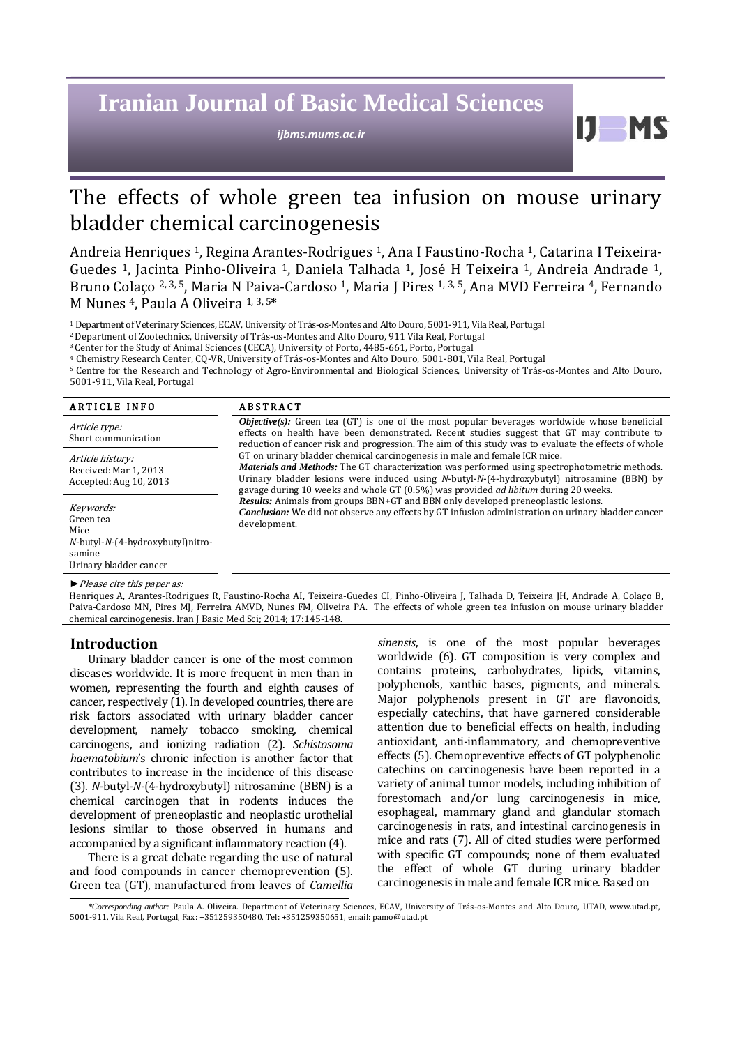# **Iranian Journal of Basic Medical Sciences**

*ijbms.mums.ac.ir*

## The effects of whole green tea infusion on mouse urinary bladder chemical carcinogenesis

Andreia Henriques 1, Regina Arantes-Rodrigues 1, Ana I Faustino-Rocha 1, Catarina I Teixeira-Guedes 1, Jacinta Pinho-Oliveira 1, Daniela Talhada 1, José H Teixeira 1, Andreia Andrade 1, Bruno Colaço <sup>2, 3, 5</sup>, Maria N Paiva-Cardoso <sup>1</sup>, Maria J Pires <sup>1, 3, 5</sup>, Ana MVD Ferreira <sup>4</sup>, Fernando M Nunes 4, Paula A Oliveira 1, 3, <sup>5</sup>\*

<sup>1</sup>Department of Veterinary Sciences, ECAV, University of Trás-os-Montes and Alto Douro, 5001-911, Vila Real, Portugal

<sup>2</sup>Department of Zootechnics, University of Trás-os-Montes and Alto Douro, 911 Vila Real, Portugal

<sup>3</sup> Center for the Study of Animal Sciences (CECA), University of Porto, 4485-661, Porto, Portugal

<sup>4</sup> Chemistry Research Center, CQ-VR, University of Trás-os-Montes and Alto Douro, 5001-801, Vila Real, Portugal

<sup>5</sup> Centre for the Research and Technology of Agro-Environmental and Biological Sciences, University of Trás-os-Montes and Alto Douro, 5001-911, Vila Real, Portugal

| <b>ARTICLE INFO</b>                                                                                               | <b>ABSTRACT</b>                                                                                                                                                                                                                                                                                                                                                                    |
|-------------------------------------------------------------------------------------------------------------------|------------------------------------------------------------------------------------------------------------------------------------------------------------------------------------------------------------------------------------------------------------------------------------------------------------------------------------------------------------------------------------|
| Article type:<br>Short communication                                                                              | <b><i>Objective(s)</i></b> : Green tea (GT) is one of the most popular beverages worldwide whose beneficial<br>effects on health have been demonstrated. Recent studies suggest that GT may contribute to<br>reduction of cancer risk and progression. The aim of this study was to evaluate the effects of whole                                                                  |
| Article history:<br>Received: Mar 1, 2013<br>Accepted: Aug 10, 2013                                               | GT on urinary bladder chemical carcinogenesis in male and female ICR mice.<br><b>Materials and Methods:</b> The GT characterization was performed using spectrophotometric methods.<br>Urinary bladder lesions were induced using N-butyl-N-(4-hydroxybutyl) nitrosamine (BBN) by<br>gavage during 10 weeks and whole GT $(0.5\%)$ was provided <i>ad libitum</i> during 20 weeks. |
| Keywords:<br>Green tea<br>Mice<br>$N$ -butyl- $N$ - $(4$ -hydroxybutyl)nitro-<br>samine<br>Urinary bladder cancer | <b>Results:</b> Animals from groups BBN+GT and BBN only developed preneoplastic lesions.<br>Conclusion: We did not observe any effects by GT infusion administration on urinary bladder cancer<br>development.                                                                                                                                                                     |
| $\blacktriangleright$ Please cite this paper as:                                                                  |                                                                                                                                                                                                                                                                                                                                                                                    |

Henriques A, Arantes-Rodrigues R, Faustino-Rocha AI, Teixeira-Guedes CI, Pinho-Oliveira J, Talhada D, Teixeira JH, Andrade A, Colaço B, Paiva-Cardoso MN, Pires MJ, Ferreira AMVD, Nunes FM, Oliveira PA. The effects of whole green tea infusion on mouse urinary bladder chemical carcinogenesis. Iran J Basic Med Sci; 2014; 17:145-148.

#### **Introduction**

Urinary bladder cancer is one of the most common diseases worldwide. It is more frequent in men than in women, representing the fourth and eighth causes of cancer, respectively (1). In developed countries, there are risk factors associated with urinary bladder cancer development, namely tobacco smoking, chemical carcinogens, and ionizing radiation (2). *Schistosoma haematobium*'s chronic infection is another factor that contributes to increase in the incidence of this disease (3). *N*-butyl-*N*-(4-hydroxybutyl) nitrosamine (BBN) is a chemical carcinogen that in rodents induces the development of preneoplastic and neoplastic urothelial lesions similar to those observed in humans and accompanied by a significant inflammatory reaction (4).

There is a great debate regarding the use of natural and food compounds in cancer chemoprevention (5). Green tea (GT), manufactured from leaves of *Camellia*  *sinensis*, is one of the most popular beverages worldwide (6). GT composition is very complex and contains proteins, carbohydrates, lipids, vitamins, polyphenols, xanthic bases, pigments, and minerals. Major polyphenols present in GT are flavonoids, especially catechins, that have garnered considerable attention due to beneficial effects on health, including antioxidant, anti-inflammatory, and chemopreventive effects (5). Chemopreventive effects of GT polyphenolic catechins on carcinogenesis have been reported in a variety of animal tumor models, including inhibition of forestomach and/or lung carcinogenesis in mice, esophageal, mammary gland and glandular stomach carcinogenesis in rats, and intestinal carcinogenesis in mice and rats (7). All of cited studies were performed with specific GT compounds; none of them evaluated the effect of whole GT during urinary bladder carcinogenesis in male and female ICR mice. Based on

H

*\*Corresponding author:* Paula A. Oliveira. Department of Veterinary Sciences, ECAV, University of Trás-os-Montes and Alto Douro, UTAD, [www.utad.pt,](http://www.utad.pt/)  5001-911, Vila Real, Portugal, Fax: +351259350480, Tel: +351259350651, email[: pamo@utad.pt](mailto:pamo@utad.pt)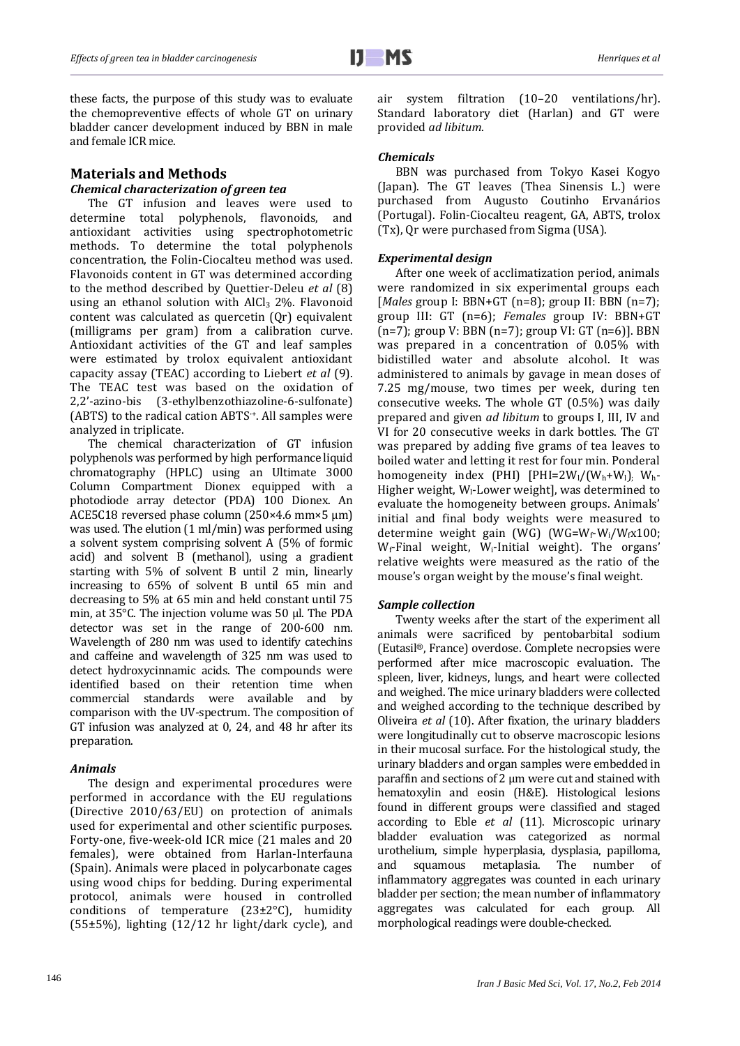these facts, the purpose of this study was to evaluate the chemopreventive effects of whole GT on urinary bladder cancer development induced by BBN in male and female ICR mice.

### **Materials and Methods**

### *Chemical characterization of green tea*

The GT infusion and leaves were used to determine total polyphenols, flavonoids, and antioxidant activities using spectrophotometric methods. To determine the total polyphenols concentration, the Folin-Ciocalteu method was used. Flavonoids content in GT was determined according to the method described by Quettier-Deleu *et al* (8) using an ethanol solution with AlCl<sub>3</sub> 2%. Flavonoid content was calculated as quercetin (Qr) equivalent (milligrams per gram) from a calibration curve. Antioxidant activities of the GT and leaf samples were estimated by trolox equivalent antioxidant capacity assay (TEAC) according to Liebert *et al* (9). The TEAC test was based on the oxidation of 2,2'-azino-bis (3-ethylbenzothiazoline-6-sulfonate) (ABTS) to the radical cation ABTS·+. All samples were analyzed in triplicate.

The chemical characterization of GT infusion polyphenols was performed by high performance liquid chromatography (HPLC) using an Ultimate 3000 Column Compartment Dionex equipped with a photodiode array detector (PDA) 100 Dionex. An ACE5C18 reversed phase column (250×4.6 mm×5 µm) was used. The elution (1 ml/min) was performed using a solvent system comprising solvent A (5% of formic acid) and solvent B (methanol), using a gradient starting with 5% of solvent B until 2 min, linearly increasing to 65% of solvent B until 65 min and decreasing to 5% at 65 min and held constant until 75 min, at 35°C. The injection volume was 50 µl. The PDA detector was set in the range of 200-600 nm. Wavelength of 280 nm was used to identify catechins and caffeine and wavelength of 325 nm was used to detect hydroxycinnamic acids. The compounds were identified based on their retention time when commercial standards were available and by comparison with the UV-spectrum. The composition of GT infusion was analyzed at 0, 24, and 48 hr after its preparation.

#### *Animals*

The design and experimental procedures were performed in accordance with the EU regulations (Directive 2010/63/EU) on protection of animals used for experimental and other scientific purposes. Forty-one, five-week-old ICR mice (21 males and 20 females), were obtained from Harlan-Interfauna (Spain). Animals were placed in polycarbonate cages using wood chips for bedding. During experimental protocol, animals were housed in controlled conditions of temperature (23±2°C), humidity (55±5%), lighting (12/12 hr light/dark cycle), and air system filtration (10–20 ventilations/hr). Standard laboratory diet (Harlan) and GT were provided *ad libitum*.

#### *Chemicals*

BBN was purchased from Tokyo Kasei Kogyo (Japan). The GT leaves (Thea Sinensis L.) were purchased from Augusto Coutinho Ervanários (Portugal). Folin-Ciocalteu reagent, GA, ABTS, trolox (Tx), Qr were purchased from Sigma (USA).

#### *Experimental design*

After one week of acclimatization period, animals were randomized in six experimental groups each [*Males* group I: BBN+GT (n=8); group II: BBN (n=7); group III: GT (n=6); *Females* group IV: BBN+GT (n=7); group V: BBN (n=7); group VI: GT (n=6)]. BBN was prepared in a concentration of 0.05% with bidistilled water and absolute alcohol. It was administered to animals by gavage in mean doses of 7.25 mg/mouse, two times per week, during ten consecutive weeks*.* The whole GT (0.5%) was daily prepared and given *ad libitum* to groups I, III, IV and VI for 20 consecutive weeks in dark bottles. The GT was prepared by adding five grams of tea leaves to boiled water and letting it rest for four min. Ponderal homogeneity index (PHI) [PHI=2W<sub>1</sub>/(W<sub>h</sub>+W<sub>1</sub>); W<sub>h</sub>-Higher weight, W<sub>1</sub>-Lower weight], was determined to evaluate the homogeneity between groups. Animals' initial and final body weights were measured to determine weight gain (WG) (WG=W<sub>f</sub>-W<sub>i</sub>/W<sub>f</sub>x100;  $W_f$ -Final weight,  $W_i$ -Initial weight). The organs' relative weights were measured as the ratio of the mouse's organ weight by the mouse's final weight.

#### *Sample collection*

Twenty weeks after the start of the experiment all animals were sacrificed by pentobarbital sodium (Eutasil®, France) overdose. Complete necropsies were performed after mice macroscopic evaluation. The spleen, liver, kidneys, lungs, and heart were collected and weighed. The mice urinary bladders were collected and weighed according to the technique described by Oliveira *et al* (10). After fixation, the urinary bladders were longitudinally cut to observe macroscopic lesions in their mucosal surface. For the histological study, the urinary bladders and organ samples were embedded in paraffin and sections of  $2 \mu m$  were cut and stained with hematoxylin and eosin (H&E). Histological lesions found in different groups were classified and staged according to Eble *et al* (11). Microscopic urinary bladder evaluation was categorized as normal urothelium, simple hyperplasia, dysplasia, papilloma, and squamous metaplasia. The number of inflammatory aggregates was counted in each urinary bladder per section; the mean number of inflammatory aggregates was calculated for each group. All morphological readings were double-checked.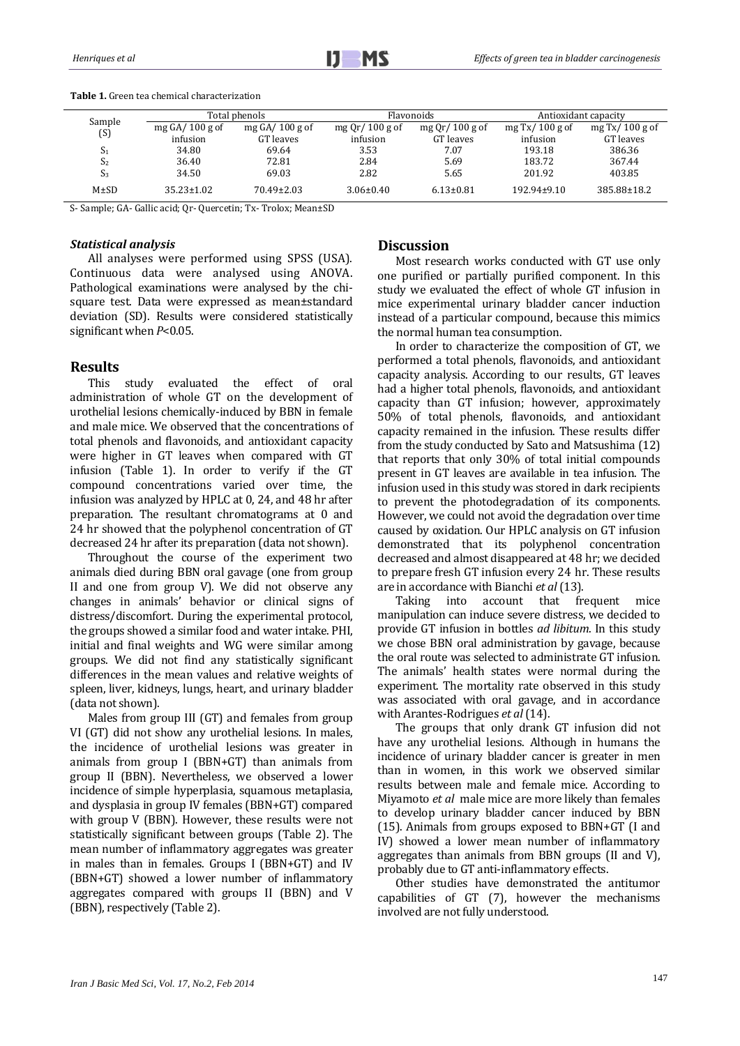|                | Total phenols    |                  | <b>Flavonoids</b>  |                    | Antioxidant capacity |                   |  |
|----------------|------------------|------------------|--------------------|--------------------|----------------------|-------------------|--|
| Sample         | mg $GA/100$ g of | mg $GA/100$ g of | mg Qr $/$ 100 g of | mg Qr $/$ 100 g of | mg Tx/100 g of       | mg Tx/ $100$ g of |  |
| (S)            | infusion         | GT leaves        | infusion           | GT leaves          | infusion             | GT leaves         |  |
| $S_1$          | 34.80            | 69.64            | 3.53               | 7.07               | 193.18               | 386.36            |  |
| S <sub>2</sub> | 36.40            | 72.81            | 2.84               | 5.69               | 183.72               | 367.44            |  |
| $S_3$          | 34.50            | 69.03            | 2.82               | 5.65               | 201.92               | 403.85            |  |
| $M\pm SD$      | $35.23 \pm 1.02$ | $70.49 \pm 2.03$ | $3.06 \pm 0.40$    | $6.13 \pm 0.81$    | $192.94 \pm 9.10$    | 385.88±18.2       |  |

**Table 1.** Green tea chemical characterization

S- Sample; GA- Gallic acid; Qr- Quercetin; Tx- Trolox; Mean±SD

#### *Statistical analysis*

All analyses were performed using SPSS (USA). Continuous data were analysed using ANOVA. Pathological examinations were analysed by the chisquare test. Data were expressed as mean±standard deviation (SD). Results were considered statistically significant when *P*<0.05.

#### **Results**

This study evaluated the effect of oral administration of whole GT on the development of urothelial lesions chemically-induced by BBN in female and male mice. We observed that the concentrations of total phenols and flavonoids, and antioxidant capacity were higher in GT leaves when compared with GT infusion (Table 1). In order to verify if the GT compound concentrations varied over time, the infusion was analyzed by HPLC at 0, 24, and 48 hr after preparation. The resultant chromatograms at 0 and 24 hr showed that the polyphenol concentration of GT decreased 24 hr after its preparation (data not shown).

Throughout the course of the experiment two animals died during BBN oral gavage (one from group II and one from group V). We did not observe any changes in animals' behavior or clinical signs of distress/discomfort. During the experimental protocol, the groups showed a similar food and water intake. PHI, initial and final weights and WG were similar among groups. We did not find any statistically significant differences in the mean values and relative weights of spleen, liver, kidneys, lungs, heart, and urinary bladder (data not shown).

Males from group III (GT) and females from group VI (GT) did not show any urothelial lesions. In males, the incidence of urothelial lesions was greater in animals from group I (BBN+GT) than animals from group II (BBN). Nevertheless, we observed a lower incidence of simple hyperplasia, squamous metaplasia, and dysplasia in group IV females (BBN+GT) compared with group V (BBN). However, these results were not statistically significant between groups (Table 2). The mean number of inflammatory aggregates was greater in males than in females. Groups I (BBN+GT) and IV (BBN+GT) showed a lower number of inflammatory aggregates compared with groups II (BBN) and V (BBN), respectively (Table 2).

#### **Discussion**

Most research works conducted with GT use only one purified or partially purified component. In this study we evaluated the effect of whole GT infusion in mice experimental urinary bladder cancer induction instead of a particular compound, because this mimics the normal human tea consumption.

In order to characterize the composition of GT, we performed a total phenols, flavonoids, and antioxidant capacity analysis. According to our results, GT leaves had a higher total phenols, flavonoids, and antioxidant capacity than GT infusion; however, approximately 50% of total phenols, flavonoids, and antioxidant capacity remained in the infusion. These results differ from the study conducted by Sato and Matsushima (12) that reports that only 30% of total initial compounds present in GT leaves are available in tea infusion. The infusion used in this study was stored in dark recipients to prevent the photodegradation of its components. However, we could not avoid the degradation over time caused by oxidation. Our HPLC analysis on GT infusion demonstrated that its polyphenol concentration decreased and almost disappeared at 48 hr; we decided to prepare fresh GT infusion every 24 hr. These results are in accordance with Bianchi *et al*(13).

Taking into account that frequent mice manipulation can induce severe distress, we decided to provide GT infusion in bottles *ad libitum*. In this study we chose BBN oral administration by gavage, because the oral route was selected to administrate GT infusion. The animals' health states were normal during the experiment. The mortality rate observed in this study was associated with oral gavage, and in accordance with Arantes-Rodrigues *et al*(14).

The groups that only drank GT infusion did not have any urothelial lesions. Although in humans the incidence of urinary bladder cancer is greater in men than in women, in this work we observed similar results between male and female mice. According to Miyamoto *et al* male mice are more likely than females to develop urinary bladder cancer induced by BBN (15). Animals from groups exposed to BBN+GT (I and IV) showed a lower mean number of inflammatory aggregates than animals from BBN groups (II and V), probably due to GT anti-inflammatory effects.

Other studies have demonstrated the antitumor capabilities of GT (7), however the mechanisms involved are not fully understood.